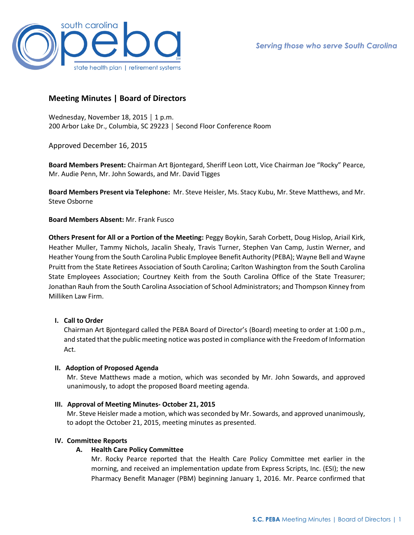

# **Meeting Minutes | Board of Directors**

Wednesday, November 18, 2015 | 1 p.m. 200 Arbor Lake Dr., Columbia, SC 29223 │ Second Floor Conference Room

Approved December 16, 2015

**Board Members Present:** Chairman Art Bjontegard, Sheriff Leon Lott, Vice Chairman Joe "Rocky" Pearce, Mr. Audie Penn, Mr. John Sowards, and Mr. David Tigges

**Board Members Present via Telephone:** Mr. Steve Heisler, Ms. Stacy Kubu, Mr. Steve Matthews, and Mr. Steve Osborne

**Board Members Absent:** Mr. Frank Fusco

**Others Present for All or a Portion of the Meeting:** Peggy Boykin, Sarah Corbett, Doug Hislop, Ariail Kirk, Heather Muller, Tammy Nichols, Jacalin Shealy, Travis Turner, Stephen Van Camp, Justin Werner, and Heather Young from the South Carolina Public Employee Benefit Authority (PEBA); Wayne Bell and Wayne Pruitt from the State Retirees Association of South Carolina; Carlton Washington from the South Carolina State Employees Association; Courtney Keith from the South Carolina Office of the State Treasurer; Jonathan Rauh from the South Carolina Association of School Administrators; and Thompson Kinney from Milliken Law Firm.

#### **I. Call to Order**

Chairman Art Bjontegard called the PEBA Board of Director's (Board) meeting to order at 1:00 p.m., and stated that the public meeting notice was posted in compliance with the Freedom of Information Act.

#### **II. Adoption of Proposed Agenda**

Mr. Steve Matthews made a motion, which was seconded by Mr. John Sowards, and approved unanimously, to adopt the proposed Board meeting agenda.

#### **III. Approval of Meeting Minutes- October 21, 2015**

Mr. Steve Heisler made a motion, which was seconded by Mr. Sowards, and approved unanimously, to adopt the October 21, 2015, meeting minutes as presented.

#### **IV. Committee Reports**

# **A. Health Care Policy Committee**

Mr. Rocky Pearce reported that the Health Care Policy Committee met earlier in the morning, and received an implementation update from Express Scripts, Inc. (ESI); the new Pharmacy Benefit Manager (PBM) beginning January 1, 2016. Mr. Pearce confirmed that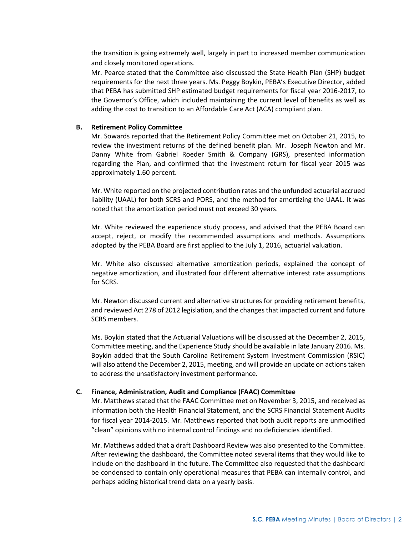the transition is going extremely well, largely in part to increased member communication and closely monitored operations.

Mr. Pearce stated that the Committee also discussed the State Health Plan (SHP) budget requirements for the next three years. Ms. Peggy Boykin, PEBA's Executive Director, added that PEBA has submitted SHP estimated budget requirements for fiscal year 2016-2017, to the Governor's Office, which included maintaining the current level of benefits as well as adding the cost to transition to an Affordable Care Act (ACA) compliant plan.

#### **B. Retirement Policy Committee**

Mr. Sowards reported that the Retirement Policy Committee met on October 21, 2015, to review the investment returns of the defined benefit plan. Mr. Joseph Newton and Mr. Danny White from Gabriel Roeder Smith & Company (GRS), presented information regarding the Plan, and confirmed that the investment return for fiscal year 2015 was approximately 1.60 percent.

Mr. White reported on the projected contribution rates and the unfunded actuarial accrued liability (UAAL) for both SCRS and PORS, and the method for amortizing the UAAL. It was noted that the amortization period must not exceed 30 years.

Mr. White reviewed the experience study process, and advised that the PEBA Board can accept, reject, or modify the recommended assumptions and methods. Assumptions adopted by the PEBA Board are first applied to the July 1, 2016, actuarial valuation.

Mr. White also discussed alternative amortization periods, explained the concept of negative amortization, and illustrated four different alternative interest rate assumptions for SCRS.

Mr. Newton discussed current and alternative structures for providing retirement benefits, and reviewed Act 278 of 2012 legislation, and the changes that impacted current and future SCRS members.

Ms. Boykin stated that the Actuarial Valuations will be discussed at the December 2, 2015, Committee meeting, and the Experience Study should be available in late January 2016. Ms. Boykin added that the South Carolina Retirement System Investment Commission (RSIC) will also attend the December 2, 2015, meeting, and will provide an update on actions taken to address the unsatisfactory investment performance.

#### **C. Finance, Administration, Audit and Compliance (FAAC) Committee**

Mr. Matthews stated that the FAAC Committee met on November 3, 2015, and received as information both the Health Financial Statement, and the SCRS Financial Statement Audits for fiscal year 2014-2015. Mr. Matthews reported that both audit reports are unmodified "clean" opinions with no internal control findings and no deficiencies identified.

Mr. Matthews added that a draft Dashboard Review was also presented to the Committee. After reviewing the dashboard, the Committee noted several items that they would like to include on the dashboard in the future. The Committee also requested that the dashboard be condensed to contain only operational measures that PEBA can internally control, and perhaps adding historical trend data on a yearly basis.